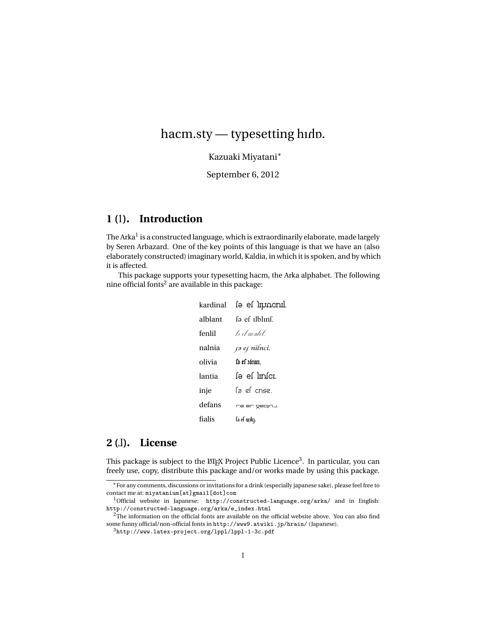# hacm.sty - typesetting hidp.

Kazuaki Miyatani<sup>∗</sup>

September 6, 2012

## **1 (**1**). Introduction**

The Arka $^{\rm l}$  is a constructed language, which is extraordinarily elaborate, made largely by Seren Arbazard. One of the key points of this language is that we have an (also elaborately constructed) imaginary world, Kaldia, in which it is spoken, and by which it is affected.

This package supports your typesetting hacm, the Arka alphabet. The following nine official fonts<sup>2</sup> are available in this package:

| kardinal | lə el lipocnil.            |
|----------|----------------------------|
| alblant  | fa ef ilblinf.             |
| fenlil   | ls el aenlel               |
| nalnia   | rə er nilnci.              |
| olivia   | l'a el oltuti.             |
| lantia   | fə ef lmfcı.               |
| inje     | la el cnse.                |
| defans   | ra er gegnu.               |
| fialis   | fə ef qcılc <sub>l</sub> . |

# **2 (**2**). License**

This package is subject to the  $\mathbb{M}$ EX Project Public Licence $^3.$  In particular, you can freely use, copy, distribute this package and/or works made by using this package.

<sup>∗</sup>For any comments, discussions or invitations for a drink (especially japanese sake), please feel free to contact me at: miyatanium[at]gmail[dot]com

<sup>&</sup>lt;sup>1</sup>Official website in Japanese: http://constructed-language.org/arka/ and in English: http://constructed-language.org/arka/e\_index.html

 $2$ The information on the official fonts are available on the official website above. You can also find some funny official/non-official fonts in http://www9.atwiki.jp/hrain/ (Japanese).

<sup>3</sup>http://www.latex-project.org/lppl/lppl-1-3c.pdf